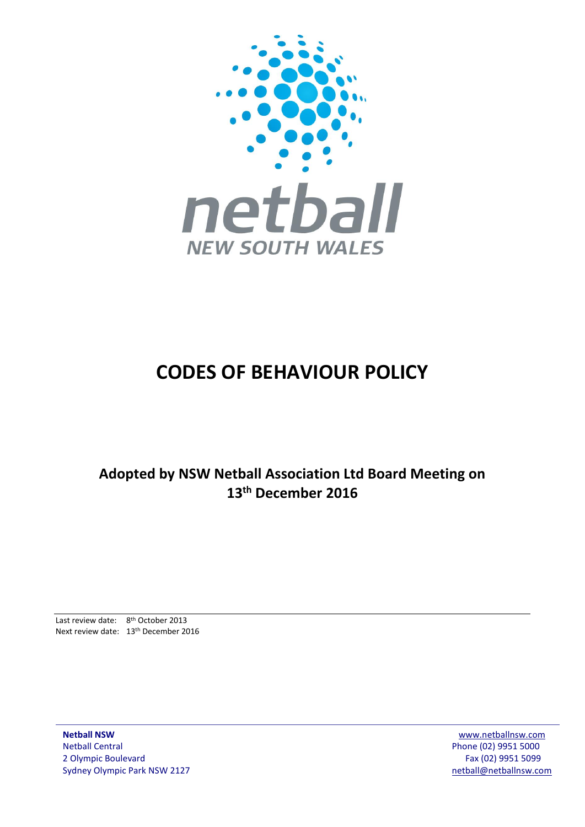

# **CODES OF BEHAVIOUR POLICY**

**Adopted by NSW Netball Association Ltd Board Meeting on 13th December 2016**

Last review date: 8<sup>th</sup> October 2013 Next review date: 13th December 2016

**Netball NSW** [www.netballnsw.com](http://www.netballnsw.com/) Netball Central Phone (02) 9951 5000 2 Olympic Boulevard Fax (02) 9951 5099 Sydney Olympic Park NSW 2127 [netball@netballnsw.com](mailto:netball@netballnsw.com)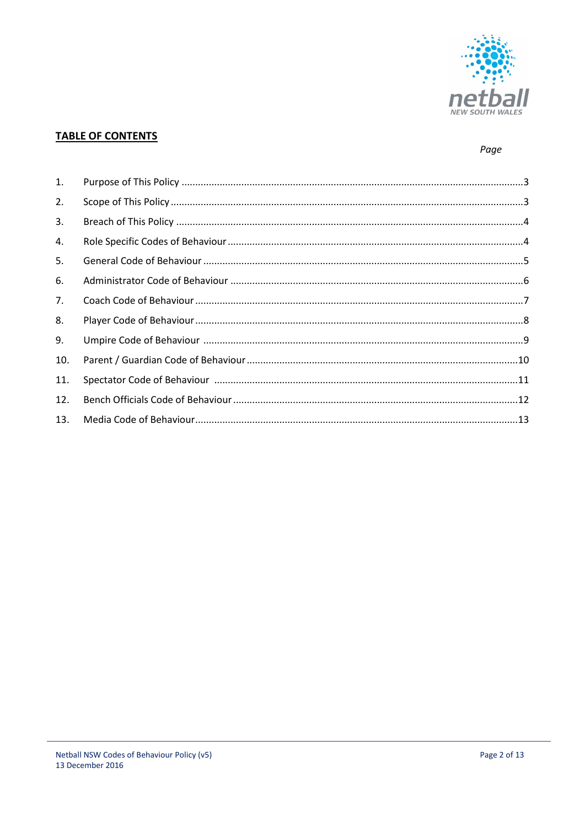

# **TABLE OF CONTENTS**

# Page

| 1.  |  |
|-----|--|
| 2.  |  |
| 3.  |  |
| 4.  |  |
| 5.  |  |
| 6.  |  |
| 7.  |  |
| 8.  |  |
| 9.  |  |
| 10. |  |
| 11. |  |
| 12. |  |
| 13. |  |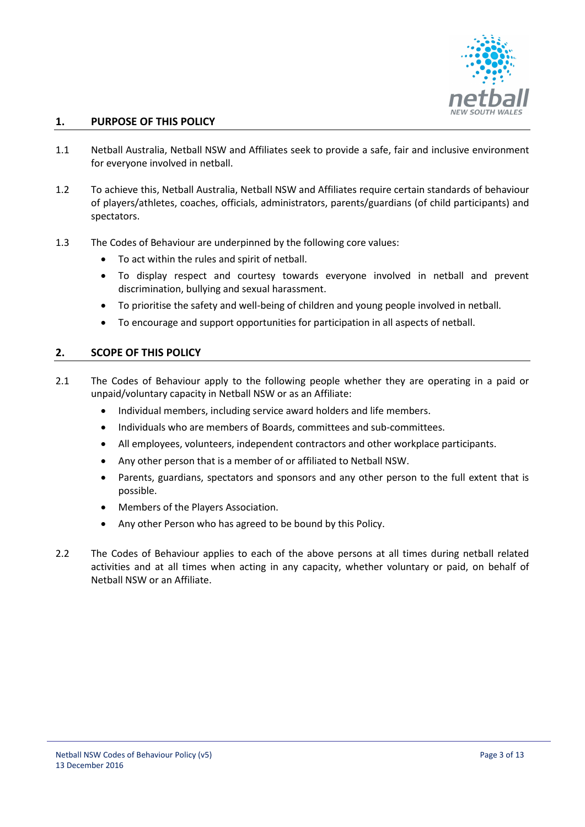

# **1. PURPOSE OF THIS POLICY**

- 1.1 Netball Australia, Netball NSW and Affiliates seek to provide a safe, fair and inclusive environment for everyone involved in netball.
- 1.2 To achieve this, Netball Australia, Netball NSW and Affiliates require certain standards of behaviour of players/athletes, coaches, officials, administrators, parents/guardians (of child participants) and spectators.
- 1.3 The Codes of Behaviour are underpinned by the following core values:
	- To act within the rules and spirit of netball.
	- To display respect and courtesy towards everyone involved in netball and prevent discrimination, bullying and sexual harassment.
	- To prioritise the safety and well-being of children and young people involved in netball.
	- To encourage and support opportunities for participation in all aspects of netball.

#### **2. SCOPE OF THIS POLICY**

- 2.1 The Codes of Behaviour apply to the following people whether they are operating in a paid or unpaid/voluntary capacity in Netball NSW or as an Affiliate:
	- Individual members, including service award holders and life members.
	- Individuals who are members of Boards, committees and sub-committees.
	- All employees, volunteers, independent contractors and other workplace participants.
	- Any other person that is a member of or affiliated to Netball NSW.
	- Parents, guardians, spectators and sponsors and any other person to the full extent that is possible.
	- Members of the Players Association.
	- Any other Person who has agreed to be bound by this Policy.
- 2.2 The Codes of Behaviour applies to each of the above persons at all times during netball related activities and at all times when acting in any capacity, whether voluntary or paid, on behalf of Netball NSW or an Affiliate.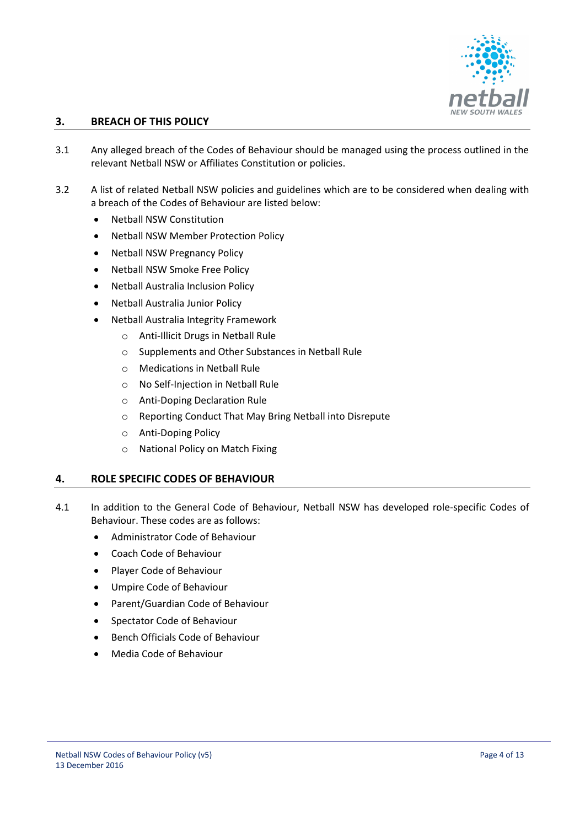

# **3. BREACH OF THIS POLICY**

- 3.1 Any alleged breach of the Codes of Behaviour should be managed using the process outlined in the relevant Netball NSW or Affiliates Constitution or policies.
- 3.2 A list of related Netball NSW policies and guidelines which are to be considered when dealing with a breach of the Codes of Behaviour are listed below:
	- Netball NSW Constitution
	- Netball NSW Member Protection Policy
	- Netball NSW Pregnancy Policy
	- Netball NSW Smoke Free Policy
	- Netball Australia Inclusion Policy
	- Netball Australia Junior Policy
	- Netball Australia Integrity Framework
		- o Anti-Illicit Drugs in Netball Rule
		- o Supplements and Other Substances in Netball Rule
		- o Medications in Netball Rule
		- o No Self-Injection in Netball Rule
		- o Anti-Doping Declaration Rule
		- o Reporting Conduct That May Bring Netball into Disrepute
		- o Anti-Doping Policy
		- o National Policy on Match Fixing

#### **4. ROLE SPECIFIC CODES OF BEHAVIOUR**

- 4.1 In addition to the General Code of Behaviour, Netball NSW has developed role-specific Codes of Behaviour. These codes are as follows:
	- Administrator Code of Behaviour
	- Coach Code of Behaviour
	- Player Code of Behaviour
	- Umpire Code of Behaviour
	- Parent/Guardian Code of Behaviour
	- Spectator Code of Behaviour
	- Bench Officials Code of Behaviour
	- Media Code of Behaviour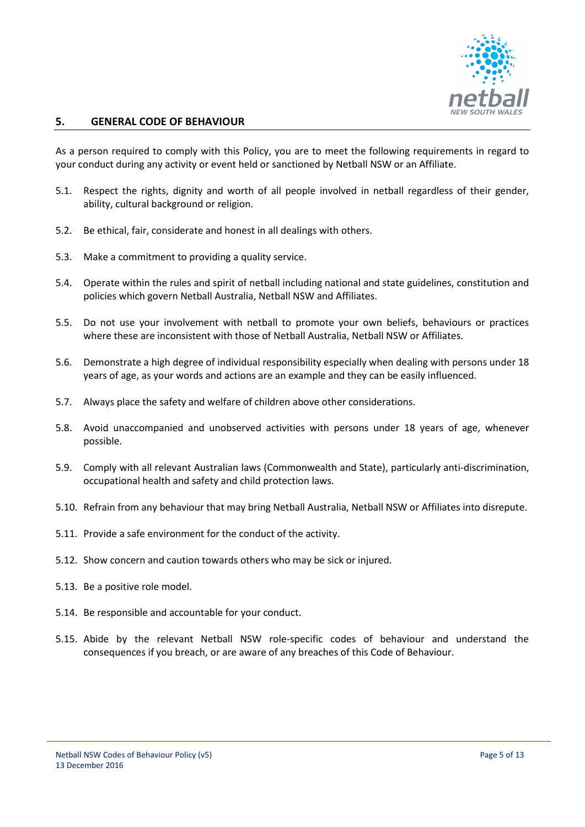

#### **5. GENERAL CODE OF BEHAVIOUR**

As a person required to comply with this Policy, you are to meet the following requirements in regard to your conduct during any activity or event held or sanctioned by Netball NSW or an Affiliate.

- 5.1. Respect the rights, dignity and worth of all people involved in netball regardless of their gender, ability, cultural background or religion.
- 5.2. Be ethical, fair, considerate and honest in all dealings with others.
- 5.3. Make a commitment to providing a quality service.
- 5.4. Operate within the rules and spirit of netball including national and state guidelines, constitution and policies which govern Netball Australia, Netball NSW and Affiliates.
- 5.5. Do not use your involvement with netball to promote your own beliefs, behaviours or practices where these are inconsistent with those of Netball Australia, Netball NSW or Affiliates.
- 5.6. Demonstrate a high degree of individual responsibility especially when dealing with persons under 18 years of age, as your words and actions are an example and they can be easily influenced.
- 5.7. Always place the safety and welfare of children above other considerations.
- 5.8. Avoid unaccompanied and unobserved activities with persons under 18 years of age, whenever possible.
- 5.9. Comply with all relevant Australian laws (Commonwealth and State), particularly anti-discrimination, occupational health and safety and child protection laws.
- 5.10. Refrain from any behaviour that may bring Netball Australia, Netball NSW or Affiliates into disrepute.
- 5.11. Provide a safe environment for the conduct of the activity.
- 5.12. Show concern and caution towards others who may be sick or injured.
- 5.13. Be a positive role model.
- 5.14. Be responsible and accountable for your conduct.
- 5.15. Abide by the relevant Netball NSW role-specific codes of behaviour and understand the consequences if you breach, or are aware of any breaches of this Code of Behaviour.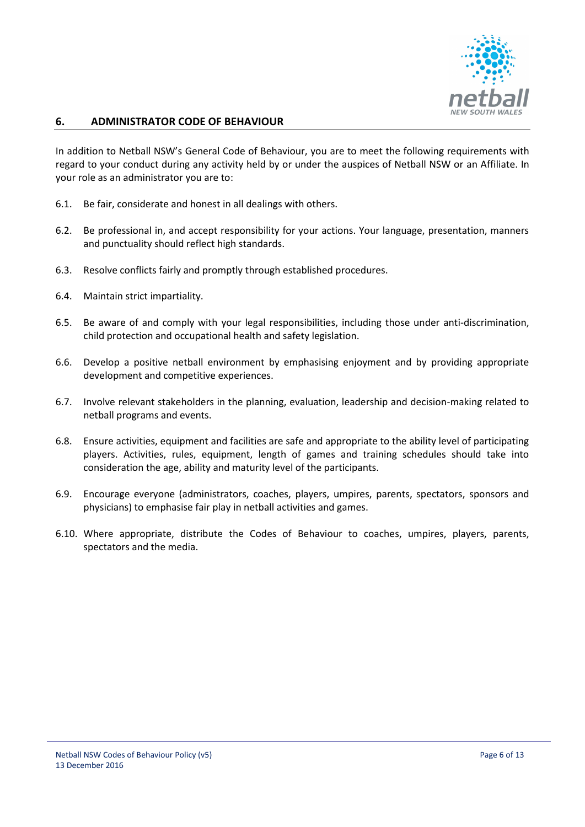

#### **6. ADMINISTRATOR CODE OF BEHAVIOUR**

In addition to Netball NSW's General Code of Behaviour, you are to meet the following requirements with regard to your conduct during any activity held by or under the auspices of Netball NSW or an Affiliate. In your role as an administrator you are to:

- 6.1. Be fair, considerate and honest in all dealings with others.
- 6.2. Be professional in, and accept responsibility for your actions. Your language, presentation, manners and punctuality should reflect high standards.
- 6.3. Resolve conflicts fairly and promptly through established procedures.
- 6.4. Maintain strict impartiality.
- 6.5. Be aware of and comply with your legal responsibilities, including those under anti-discrimination, child protection and occupational health and safety legislation.
- 6.6. Develop a positive netball environment by emphasising enjoyment and by providing appropriate development and competitive experiences.
- 6.7. Involve relevant stakeholders in the planning, evaluation, leadership and decision-making related to netball programs and events.
- 6.8. Ensure activities, equipment and facilities are safe and appropriate to the ability level of participating players. Activities, rules, equipment, length of games and training schedules should take into consideration the age, ability and maturity level of the participants.
- 6.9. Encourage everyone (administrators, coaches, players, umpires, parents, spectators, sponsors and physicians) to emphasise fair play in netball activities and games.
- 6.10. Where appropriate, distribute the Codes of Behaviour to coaches, umpires, players, parents, spectators and the media.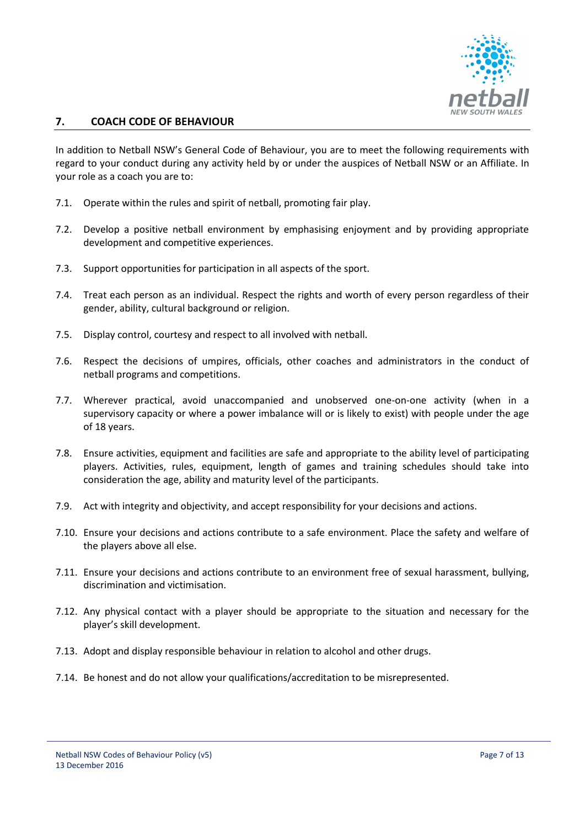

# **7. COACH CODE OF BEHAVIOUR**

In addition to Netball NSW's General Code of Behaviour, you are to meet the following requirements with regard to your conduct during any activity held by or under the auspices of Netball NSW or an Affiliate. In your role as a coach you are to:

- 7.1. Operate within the rules and spirit of netball, promoting fair play.
- 7.2. Develop a positive netball environment by emphasising enjoyment and by providing appropriate development and competitive experiences.
- 7.3. Support opportunities for participation in all aspects of the sport.
- 7.4. Treat each person as an individual. Respect the rights and worth of every person regardless of their gender, ability, cultural background or religion.
- 7.5. Display control, courtesy and respect to all involved with netball.
- 7.6. Respect the decisions of umpires, officials, other coaches and administrators in the conduct of netball programs and competitions.
- 7.7. Wherever practical, avoid unaccompanied and unobserved one-on-one activity (when in a supervisory capacity or where a power imbalance will or is likely to exist) with people under the age of 18 years.
- 7.8. Ensure activities, equipment and facilities are safe and appropriate to the ability level of participating players. Activities, rules, equipment, length of games and training schedules should take into consideration the age, ability and maturity level of the participants.
- 7.9. Act with integrity and objectivity, and accept responsibility for your decisions and actions.
- 7.10. Ensure your decisions and actions contribute to a safe environment. Place the safety and welfare of the players above all else.
- 7.11. Ensure your decisions and actions contribute to an environment free of sexual harassment, bullying, discrimination and victimisation.
- 7.12. Any physical contact with a player should be appropriate to the situation and necessary for the player's skill development.
- 7.13. Adopt and display responsible behaviour in relation to alcohol and other drugs.
- 7.14. Be honest and do not allow your qualifications/accreditation to be misrepresented.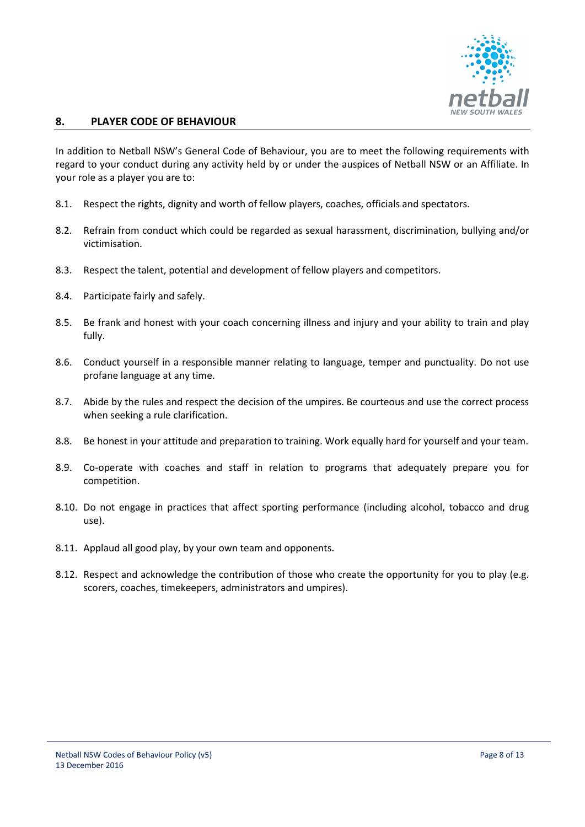

# **8. PLAYER CODE OF BEHAVIOUR**

In addition to Netball NSW's General Code of Behaviour, you are to meet the following requirements with regard to your conduct during any activity held by or under the auspices of Netball NSW or an Affiliate. In your role as a player you are to:

- 8.1. Respect the rights, dignity and worth of fellow players, coaches, officials and spectators.
- 8.2. Refrain from conduct which could be regarded as sexual harassment, discrimination, bullying and/or victimisation.
- 8.3. Respect the talent, potential and development of fellow players and competitors.
- 8.4. Participate fairly and safely.
- 8.5. Be frank and honest with your coach concerning illness and injury and your ability to train and play fully.
- 8.6. Conduct yourself in a responsible manner relating to language, temper and punctuality. Do not use profane language at any time.
- 8.7. Abide by the rules and respect the decision of the umpires. Be courteous and use the correct process when seeking a rule clarification.
- 8.8. Be honest in your attitude and preparation to training. Work equally hard for yourself and your team.
- 8.9. Co-operate with coaches and staff in relation to programs that adequately prepare you for competition.
- 8.10. Do not engage in practices that affect sporting performance (including alcohol, tobacco and drug use).
- 8.11. Applaud all good play, by your own team and opponents.
- 8.12. Respect and acknowledge the contribution of those who create the opportunity for you to play (e.g. scorers, coaches, timekeepers, administrators and umpires).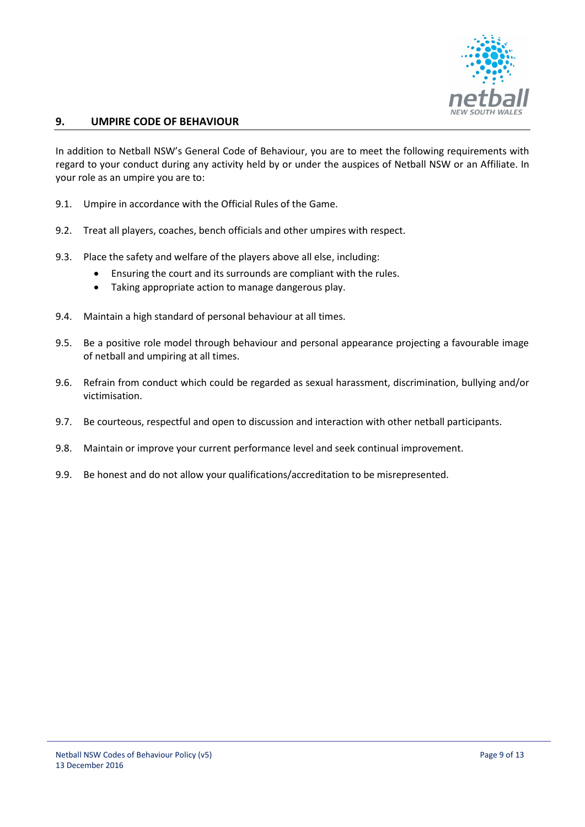

# **9. UMPIRE CODE OF BEHAVIOUR**

In addition to Netball NSW's General Code of Behaviour, you are to meet the following requirements with regard to your conduct during any activity held by or under the auspices of Netball NSW or an Affiliate. In your role as an umpire you are to:

- 9.1. Umpire in accordance with the Official Rules of the Game.
- 9.2. Treat all players, coaches, bench officials and other umpires with respect.
- 9.3. Place the safety and welfare of the players above all else, including:
	- Ensuring the court and its surrounds are compliant with the rules.
	- Taking appropriate action to manage dangerous play.
- 9.4. Maintain a high standard of personal behaviour at all times.
- 9.5. Be a positive role model through behaviour and personal appearance projecting a favourable image of netball and umpiring at all times.
- 9.6. Refrain from conduct which could be regarded as sexual harassment, discrimination, bullying and/or victimisation.
- 9.7. Be courteous, respectful and open to discussion and interaction with other netball participants.
- 9.8. Maintain or improve your current performance level and seek continual improvement.
- 9.9. Be honest and do not allow your qualifications/accreditation to be misrepresented.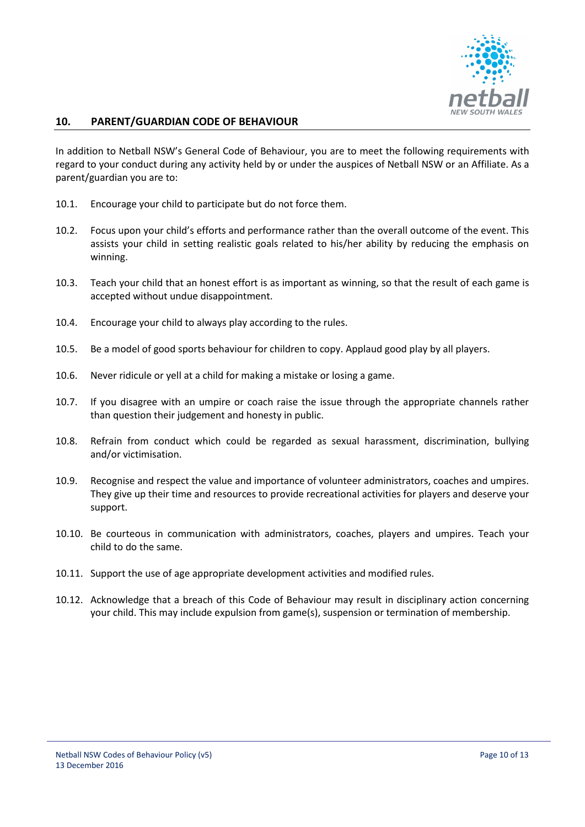

# **10. PARENT/GUARDIAN CODE OF BEHAVIOUR**

In addition to Netball NSW's General Code of Behaviour, you are to meet the following requirements with regard to your conduct during any activity held by or under the auspices of Netball NSW or an Affiliate. As a parent/guardian you are to:

- 10.1. Encourage your child to participate but do not force them.
- 10.2. Focus upon your child's efforts and performance rather than the overall outcome of the event. This assists your child in setting realistic goals related to his/her ability by reducing the emphasis on winning.
- 10.3. Teach your child that an honest effort is as important as winning, so that the result of each game is accepted without undue disappointment.
- 10.4. Encourage your child to always play according to the rules.
- 10.5. Be a model of good sports behaviour for children to copy. Applaud good play by all players.
- 10.6. Never ridicule or yell at a child for making a mistake or losing a game.
- 10.7. If you disagree with an umpire or coach raise the issue through the appropriate channels rather than question their judgement and honesty in public.
- 10.8. Refrain from conduct which could be regarded as sexual harassment, discrimination, bullying and/or victimisation.
- 10.9. Recognise and respect the value and importance of volunteer administrators, coaches and umpires. They give up their time and resources to provide recreational activities for players and deserve your support.
- 10.10. Be courteous in communication with administrators, coaches, players and umpires. Teach your child to do the same.
- 10.11. Support the use of age appropriate development activities and modified rules.
- 10.12. Acknowledge that a breach of this Code of Behaviour may result in disciplinary action concerning your child. This may include expulsion from game(s), suspension or termination of membership.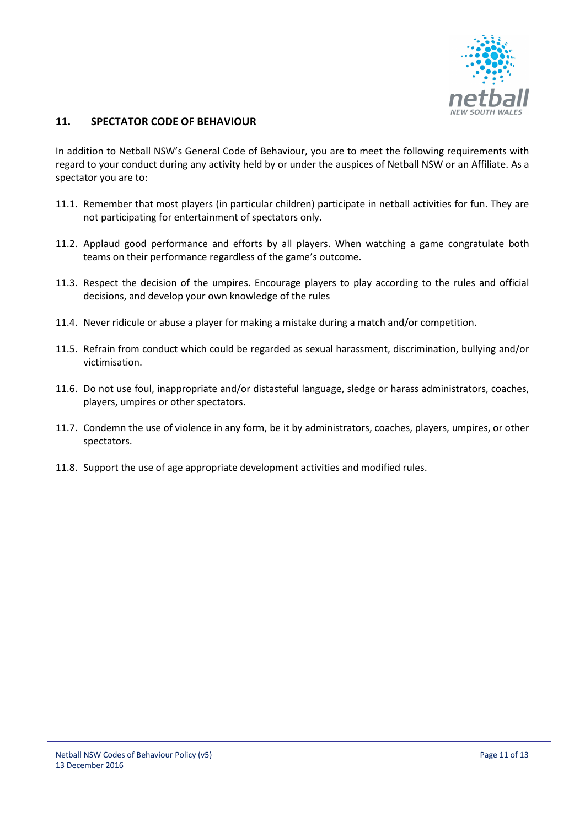

# **11. SPECTATOR CODE OF BEHAVIOUR**

In addition to Netball NSW's General Code of Behaviour, you are to meet the following requirements with regard to your conduct during any activity held by or under the auspices of Netball NSW or an Affiliate. As a spectator you are to:

- 11.1. Remember that most players (in particular children) participate in netball activities for fun. They are not participating for entertainment of spectators only.
- 11.2. Applaud good performance and efforts by all players. When watching a game congratulate both teams on their performance regardless of the game's outcome.
- 11.3. Respect the decision of the umpires. Encourage players to play according to the rules and official decisions, and develop your own knowledge of the rules
- 11.4. Never ridicule or abuse a player for making a mistake during a match and/or competition.
- 11.5. Refrain from conduct which could be regarded as sexual harassment, discrimination, bullying and/or victimisation.
- 11.6. Do not use foul, inappropriate and/or distasteful language, sledge or harass administrators, coaches, players, umpires or other spectators.
- 11.7. Condemn the use of violence in any form, be it by administrators, coaches, players, umpires, or other spectators.
- 11.8. Support the use of age appropriate development activities and modified rules.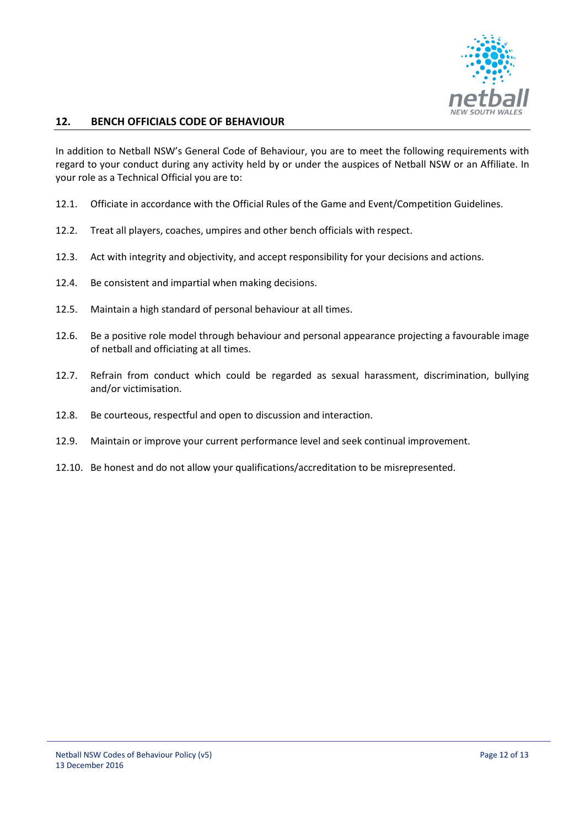

# **12. BENCH OFFICIALS CODE OF BEHAVIOUR**

In addition to Netball NSW's General Code of Behaviour, you are to meet the following requirements with regard to your conduct during any activity held by or under the auspices of Netball NSW or an Affiliate. In your role as a Technical Official you are to:

- 12.1. Officiate in accordance with the Official Rules of the Game and Event/Competition Guidelines.
- 12.2. Treat all players, coaches, umpires and other bench officials with respect.
- 12.3. Act with integrity and objectivity, and accept responsibility for your decisions and actions.
- 12.4. Be consistent and impartial when making decisions.
- 12.5. Maintain a high standard of personal behaviour at all times.
- 12.6. Be a positive role model through behaviour and personal appearance projecting a favourable image of netball and officiating at all times.
- 12.7. Refrain from conduct which could be regarded as sexual harassment, discrimination, bullying and/or victimisation.
- 12.8. Be courteous, respectful and open to discussion and interaction.
- 12.9. Maintain or improve your current performance level and seek continual improvement.
- 12.10. Be honest and do not allow your qualifications/accreditation to be misrepresented.